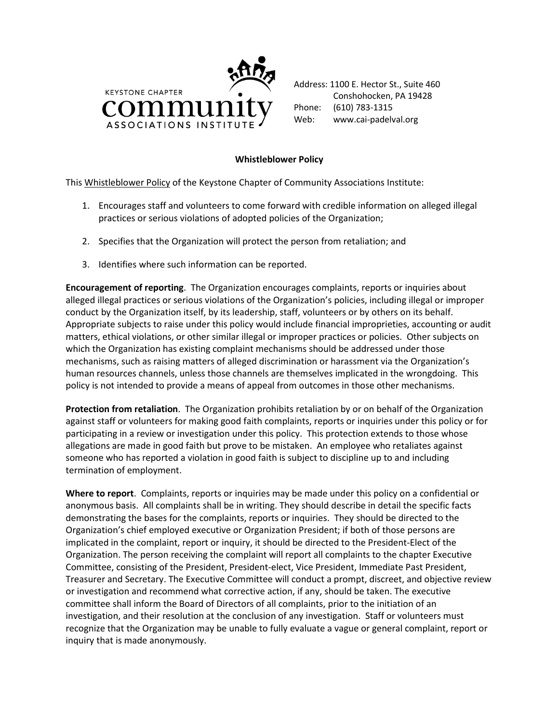

Address: 1100 E. Hector St., Suite 460 Conshohocken, PA 19428 Phone: (610) 783-1315 Web: www.cai-padelval.org

## **Whistleblower Policy**

This Whistleblower Policy of the Keystone Chapter of Community Associations Institute:

- 1. Encourages staff and volunteers to come forward with credible information on alleged illegal practices or serious violations of adopted policies of the Organization;
- 2. Specifies that the Organization will protect the person from retaliation; and
- 3. Identifies where such information can be reported.

**Encouragement of reporting**. The Organization encourages complaints, reports or inquiries about alleged illegal practices or serious violations of the Organization's policies, including illegal or improper conduct by the Organization itself, by its leadership, staff, volunteers or by others on its behalf. Appropriate subjects to raise under this policy would include financial improprieties, accounting or audit matters, ethical violations, or other similar illegal or improper practices or policies. Other subjects on which the Organization has existing complaint mechanisms should be addressed under those mechanisms, such as raising matters of alleged discrimination or harassment via the Organization's human resources channels, unless those channels are themselves implicated in the wrongdoing. This policy is not intended to provide a means of appeal from outcomes in those other mechanisms.

**Protection from retaliation**. The Organization prohibits retaliation by or on behalf of the Organization against staff or volunteers for making good faith complaints, reports or inquiries under this policy or for participating in a review or investigation under this policy. This protection extends to those whose allegations are made in good faith but prove to be mistaken. An employee who retaliates against someone who has reported a violation in good faith is subject to discipline up to and including termination of employment.

**Where to report**. Complaints, reports or inquiries may be made under this policy on a confidential or anonymous basis. All complaints shall be in writing. They should describe in detail the specific facts demonstrating the bases for the complaints, reports or inquiries. They should be directed to the Organization's chief employed executive or Organization President; if both of those persons are implicated in the complaint, report or inquiry, it should be directed to the President-Elect of the Organization. The person receiving the complaint will report all complaints to the chapter Executive Committee, consisting of the President, President-elect, Vice President, Immediate Past President, Treasurer and Secretary. The Executive Committee will conduct a prompt, discreet, and objective review or investigation and recommend what corrective action, if any, should be taken. The executive committee shall inform the Board of Directors of all complaints, prior to the initiation of an investigation, and their resolution at the conclusion of any investigation. Staff or volunteers must recognize that the Organization may be unable to fully evaluate a vague or general complaint, report or inquiry that is made anonymously.